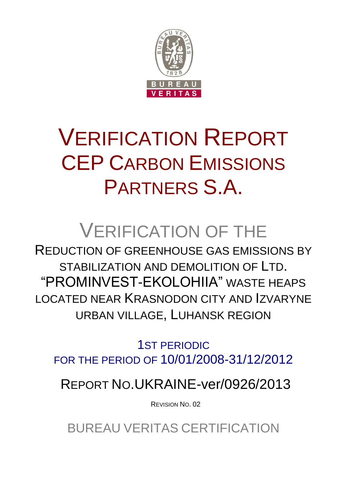

# VERIFICATION REPORT CEP CARBON EMISSIONS PARTNERS S.A.

## VERIFICATION OF THE

REDUCTION OF GREENHOUSE GAS EMISSIONS BY STABILIZATION AND DEMOLITION OF LTD. "PROMINVEST-EKOLOHIIA" WASTE HEAPS LOCATED NEAR KRASNODON CITY AND IZVARYNE URBAN VILLAGE, LUHANSK REGION

1ST PERIODIC FOR THE PERIOD OF 10/01/2008-31/12/2012

REPORT NO.UKRAINE-ver/0926/2013

REVISION NO. 02

BUREAU VERITAS CERTIFICATION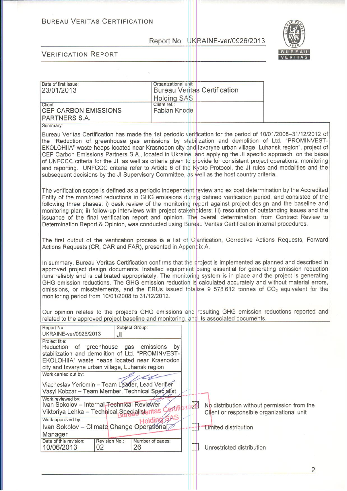#### **BUREAU VERITAS CERTIFICATION**

Report No: UKRAINE-ver/0926/2013



**VERIFICATION REPORT** 

| Date of first issue:<br>23/01/2013                      | Organizational unit:<br><b>Bureau Veritas Certification</b><br><b>Holding SAS</b> |
|---------------------------------------------------------|-----------------------------------------------------------------------------------|
| Client:<br><b>CEP CARBON EMISSIONS</b><br>PARTNERS S.A. | Client ref.:<br><b>Fabian Knodel</b>                                              |

Bureau Veritas Certification has made the 1st periodic verification for the period of 10/01/2008-31/12/2012 of the "Reduction of greenhouse gas emissions by stabilization and demolition of Ltd. "PROMINVEST-EKOLOHIIA" waste heaps located near Krasnodon city and Izvaryne urban village, Luhansk region", project of CEP Carbon Emissions Partners S.A., located in Ukraine, and applying the JI specific approach, on the basis of UNFCCC criteria for the JI, as well as criteria given to provide for consistent project operations, monitoring and reporting. UNFCCC criteria refer to Article 6 of the Kyoto Protocol, the JI rules and modalities and the subsequent decisions by the JI Supervisory Committee, as well as the host country criteria.

The verification scope is defined as a periodic independent review and ex post determination by the Accredited Entity of the monitored reductions in GHG emissions during defined verification period, and consisted of the following three phases; i) desk review of the monitoring report against project design and the baseline and monitoring plan; ii) follow-up interviews with project stakeholders; iii) resolution of outstanding issues and the issuance of the final verification report and opinion. The overall determination, from Contract Review to Determination Report & Opinion, was conducted using Bureau Veritas Certification internal procedures.

The first output of the verification process is a list of Clarification, Corrective Actions Requests, Forward Actions Requests (CR, CAR and FAR), presented in Appendix A.

In summary, Bureau Veritas Certification confirms that the project is implemented as planned and described in approved project design documents. Installed equipment being essential for generating emission reduction runs reliably and is calibrated appropriately. The monitoring system is in place and the project is generating GHG emission reductions. The GHG emission reduction is calculated accurately and without material errors, omissions, or misstatements, and the ERUs issued totalize 9 578 612 tonnes of  $CO<sub>2</sub>$  equivalent for the monitoring period from 10/01/2008 to 31/12/2012.

Our opinion relates to the project's GHG emissions and resulting GHG emission reductions reported and related to the approved project baseline and monitoring, and its associated documents.

| Report No:<br>UKRAINE-ver/0926/2013                                                                                                                                                                              | Subject Group:<br>JI   |              |                                                                                          |
|------------------------------------------------------------------------------------------------------------------------------------------------------------------------------------------------------------------|------------------------|--------------|------------------------------------------------------------------------------------------|
| Project title:<br>Reduction of greenhouse gas emissions<br>stabilization and demolition of Ltd. "PROMINVEST-<br>EKOLOHIIA" waste heaps located near Krasnodon<br>city and Izvaryne urban village, Luhansk region | by                     |              |                                                                                          |
| Work carried out by:<br>Viacheslav Yeriomin - Team Leader, Lead Verifier<br>Vasyl Kobzar - Team Member, Technical Specialist                                                                                     |                        |              |                                                                                          |
| Work reviewed by:<br>Ivan Sokolov - Internal Technical Reviewer<br>Viktoriya Lehka - Technical Specialisteritas                                                                                                  |                        | $\mathbb{Z}$ | No distribution without permission from the<br>Client or responsible organizational unit |
| Work approved by:<br>Ivan Sokolov - Climate Change Operational<br>Manager                                                                                                                                        |                        |              | Limited distribution                                                                     |
| Date of this revision:<br>Revision No.:<br>10/06/2013<br>02                                                                                                                                                      | Number of pages:<br>26 |              | Unrestricted distribution                                                                |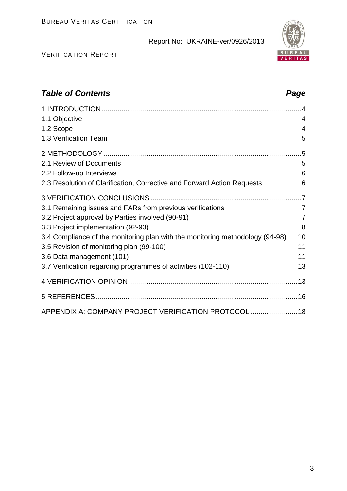#### VERIFICATION REPORT

#### *Table of Contents Page*

| 1.1 Objective                                                                 | $\overline{4}$ |
|-------------------------------------------------------------------------------|----------------|
| 1.2 Scope                                                                     | $\overline{4}$ |
| 1.3 Verification Team                                                         | 5              |
|                                                                               |                |
| 2.1 Review of Documents                                                       | 5              |
| 2.2 Follow-up Interviews                                                      | 6              |
| 2.3 Resolution of Clarification, Corrective and Forward Action Requests       | 6              |
|                                                                               |                |
| 3.1 Remaining issues and FARs from previous verifications                     | $\overline{7}$ |
| 3.2 Project approval by Parties involved (90-91)                              | $\overline{7}$ |
| 3.3 Project implementation (92-93)                                            | 8              |
| 3.4 Compliance of the monitoring plan with the monitoring methodology (94-98) | 10             |
| 3.5 Revision of monitoring plan (99-100)                                      | 11             |
| 3.6 Data management (101)                                                     | 11             |
| 3.7 Verification regarding programmes of activities (102-110)                 | 13             |
|                                                                               |                |
|                                                                               |                |
| APPENDIX A: COMPANY PROJECT VERIFICATION PROTOCOL  18                         |                |

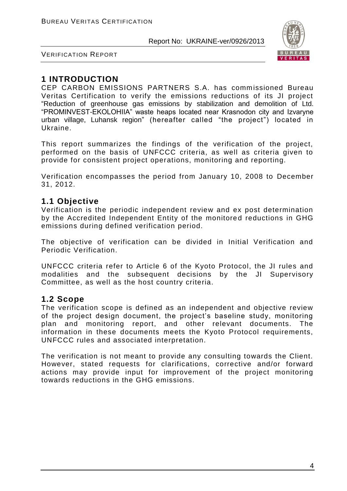

VERIFICATION REPORT

#### **1 INTRODUCTION**

CEP CARBON EMISSIONS PARTNERS S.A. has commissioned Bureau Veritas Certification to verify the emissions reductions of its JI project "Reduction of greenhouse gas emissions by stabilization and demolition of Ltd. "PROMINVEST-EKOLOHIIA" waste heaps located near Krasnodon city and Izvaryne urban village, Luhansk region" (hereafter called "the project") located in Ukraine.

This report summarizes the findings of the verification of the project, performed on the basis of UNFCCC criteria, as well as criteria given to provide for consistent project operations, monitoring and reporting.

Verification encompasses the period from January 10, 2008 to December 31, 2012.

#### **1.1 Objective**

Verification is the periodic independent review and ex post determination by the Accredited Independent Entity of the monitored reductions in GHG emissions during defined verification period.

The objective of verification can be divided in Initial Verification and Periodic Verification.

UNFCCC criteria refer to Article 6 of the Kyoto Protocol, the JI rules and modalities and the subsequent decisions by the JI Supervisory Committee, as well as the host country criteria.

#### **1.2 Scope**

The verification scope is defined as an independent and objective review of the project design document, the project's baseline study, monitoring plan and monitoring report, and other relevant documents. The information in these documents meets the Kyoto Protocol requirements, UNFCCC rules and associated interpretation.

The verification is not meant to provide any consulting towards the Client. However, stated requests for clarifications, corrective and/or forward actions may provide input for improvement of the project monitoring towards reductions in the GHG emissions.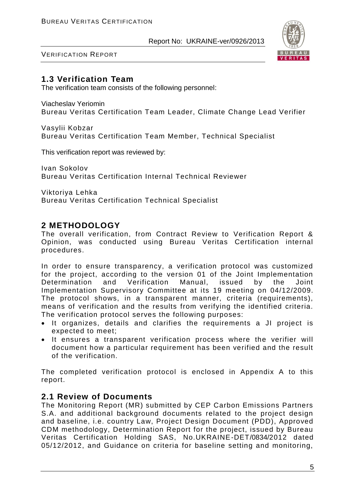

VERIFICATION REPORT

#### **1.3 Verification Team**

The verification team consists of the following personnel:

Viacheslav Yeriomin Bureau Veritas Certification Team Leader, Climate Change Lead Verifier

Vasylii Kobzar Bureau Veritas Certification Team Member, Technical Specialist

This verification report was reviewed by:

Ivan Sokolov Bureau Veritas Certification Internal Technical Reviewer

Viktoriya Lehka Bureau Veritas Certification Technical Specialist

#### **2 METHODOLOGY**

The overall verification, from Contract Review to Verification Report & Opinion, was conducted using Bureau Veritas Certification internal procedures.

In order to ensure transparency, a verification protocol was customized for the project, according to the version 01 of the Joint Implementation Determination and Verification Manual, issued by the Joint Implementation Supervisory Committee at its 19 meeting on 04/12/2009. The protocol shows, in a transparent manner, criteria (requirements), means of verification and the results from verifying the identified criteria. The verification protocol serves the following purposes:

- It organizes, details and clarifies the requirements a JI project is expected to meet;
- It ensures a transparent verification process where the verifier will document how a particular requirement has been verified and the result of the verification.

The completed verification protocol is enclosed in Appendix A to this report.

#### **2.1 Review of Documents**

The Monitoring Report (MR) submitted by CEP Carbon Emissions Partners S.A. and additional background documents related to the project design and baseline, i.e. country Law, Project Design Document (PDD), Approved CDM methodology, Determination Report for the project, issued by Bureau Veritas Certification Holding SAS, No.UKRAINE-DET/0834/2012 dated 05/12/2012, and Guidance on criteria for baseline setting and monitoring,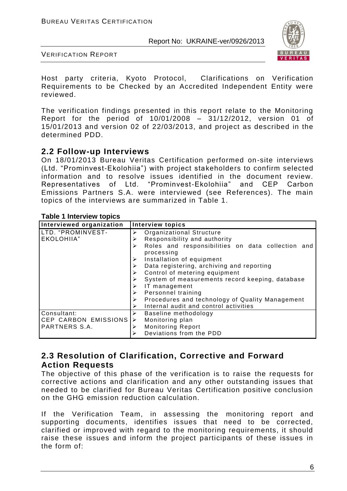

VERIFICATION REPORT

Host party criteria, Kyoto Protocol, Clarifications on Verification Requirements to be Checked by an Accredited Independent Entity were reviewed.

The verification findings presented in this report relate to the Monitoring Report for the period of 10/01/2008 – 31/12/2012, version 01 of 15/01/2013 and version 02 of 22/03/2013, and project as described in the determined PDD.

#### **2.2 Follow-up Interviews**

On 18/01/2013 Bureau Veritas Certification performed on-site interviews (Ltd. "Prominvest-Ekolohiia") with project stakeholders to confirm selected information and to resolve issues identified in the document review. Representatives of Ltd. "Prominvest-Ekolohiia" and CEP Carbon Emissions Partners S.A. were interviewed (see References). The main topics of the interviews are summarized in Table 1.

#### **Table 1 Interview topics**

| Interviewed organization | <b>Interview topics</b>                                              |
|--------------------------|----------------------------------------------------------------------|
| LTD. "PROMINVEST-        | Organizational Structure<br>➤                                        |
| EKOLOHIIA"               | Responsibility and authority<br>≻                                    |
|                          | Roles and responsibilities on data collection and<br>➤<br>processing |
|                          | Installation of equipment                                            |
|                          | Data registering, archiving and reporting                            |
|                          | Control of metering equipment<br>➤                                   |
|                          | System of measurements record keeping, database                      |
|                          | IT management<br>➤                                                   |
|                          | Personnel training<br>➤                                              |
|                          | Procedures and technology of Quality Management<br>➤                 |
|                          | Internal audit and control activities<br>➤                           |
| Consultant:              | Baseline methodology<br>≻                                            |
| CEP CARBON EMISSIONS     | Monitoring plan<br>➤                                                 |
| PARTNERS S.A.            | <b>Monitoring Report</b><br>⋗                                        |
|                          | Deviations from the PDD<br>⋗                                         |

#### **2.3 Resolution of Clarification, Corrective and Forward Action Requests**

The objective of this phase of the verification is to raise the requests for corrective actions and clarification and any other outstanding issues that needed to be clarified for Bureau Veritas Certification positive conclusion on the GHG emission reduction calculation.

If the Verification Team, in assessing the monitoring report and supporting documents, identifies issues that need to be corrected, clarified or improved with regard to the monitoring requirements, it should raise these issues and inform the project participants of these issues in the form of: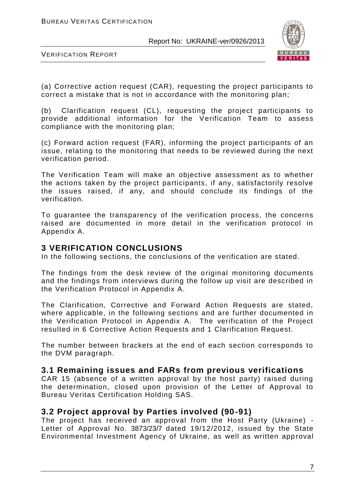

VERIFICATION REPORT

(a) Corrective action request (CAR), requesting the project participants to correct a mistake that is not in accordance with the monitoring plan;

(b) Clarification request (CL), requesting the project participants to provide additional information for the Verification Team to assess compliance with the monitoring plan;

(c) Forward action request (FAR), informing the project participants of an issue, relating to the monitoring that needs to be reviewed during the next verification period.

The Verification Team will make an objective assessment as to whether the actions taken by the project participants, if any, satisfactorily resolve the issues raised, if any, and should conclude its findings of the verification.

To guarantee the transparency of the verification process, the concerns raised are documented in more detail in the verification protocol in Appendix A.

#### **3 VERIFICATION CONCLUSIONS**

In the following sections, the conclusions of the verification are stated.

The findings from the desk review of the original monitoring documents and the findings from interviews during the follow up visit are described in the Verification Protocol in Appendix A.

The Clarification, Corrective and Forward Action Requests are stated, where applicable, in the following sections and are further documented in the Verification Protocol in Appendix A. The verification of the Project resulted in 6 Corrective Action Requests and 1 Clarification Request.

The number between brackets at the end of each section corresponds to the DVM paragraph.

#### **3.1 Remaining issues and FARs from previous verifications**

CAR 15 (absence of a written approval by the host party) raised during the determination, closed upon provision of the Letter of Approval to Bureau Veritas Certification Holding SAS.

#### **3.2 Project approval by Parties involved (90-91)**

The project has received an approval from the Host Party (Ukraine) - Letter of Approval No. 3873/23/7 dated 19/12/2012, issued by the State Environmental Investment Agency of Ukraine, as well as written app roval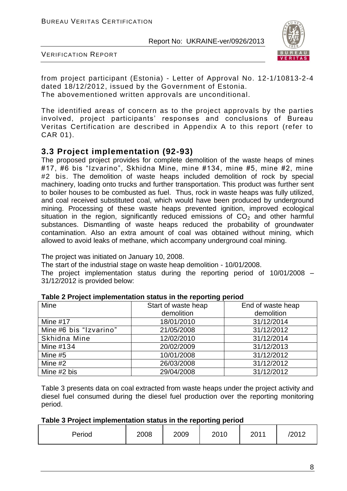

VERIFICATION REPORT

from project participant (Estonia) - Letter of Approval No. 12-1/10813-2-4 dated 18/12/2012, issued by the Government of Estonia. The abovementioned written approvals are unconditional.

The identified areas of concern as to the project approvals by the parties involved, project participants' responses and conclusions of Bureau Veritas Certification are described in Appendix A to this report (refer to CAR 01).

#### **3.3 Project implementation (92-93)**

The proposed project provides for complete demolition of the waste heaps of mines #17, #6 bis "Izvarino", Skhidna Mine, mine #134, mine #5, mine #2, mine #2 bis. The demolition of waste heaps included demolition of rock by special machinery, loading onto trucks and further transportation. This product was further sent to boiler houses to be combusted as fuel. Thus, rock in waste heaps was fully utilized, and coal received substituted coal, which would have been produced by underground mining. Processing of these waste heaps prevented ignition, improved ecological situation in the region, significantly reduced emissions of  $CO<sub>2</sub>$  and other harmful substances. Dismantling of waste heaps reduced the probability of groundwater contamination. Also an extra amount of coal was obtained without mining, which allowed to avoid leaks of methane, which accompany underground coal mining.

The project was initiated on January 10, 2008.

The start of the industrial stage on waste heap demolition - 10/01/2008.

The project implementation status during the reporting period of 10/01/2008 – 31/12/2012 is provided below:

|                        |                     | - ייני ש          |
|------------------------|---------------------|-------------------|
| Mine                   | Start of waste heap | End of waste heap |
|                        | demolition          | demolition        |
| Mine $#17$             | 18/01/2010          | 31/12/2014        |
| Mine #6 bis "Izvarino" | 21/05/2008          | 31/12/2012        |
| Skhidna Mine           | 12/02/2010          | 31/12/2014        |
| Mine #134              | 20/02/2009          | 31/12/2013        |
| Mine #5                | 10/01/2008          | 31/12/2012        |
| Mine #2                | 26/03/2008          | 31/12/2012        |
| Mine #2 bis            | 29/04/2008          | 31/12/2012        |

#### **Table 2 Project implementation status in the reporting period**

Table 3 presents data on coal extracted from waste heaps under the project activity and diesel fuel consumed during the diesel fuel production over the reporting monitoring period.

| Table 3 Project implementation status in the reporting period |  |  |
|---------------------------------------------------------------|--|--|
|---------------------------------------------------------------|--|--|

| Period | 2008 | 2009 | 2010 | 2011 | 2012 |
|--------|------|------|------|------|------|
|        |      |      |      |      |      |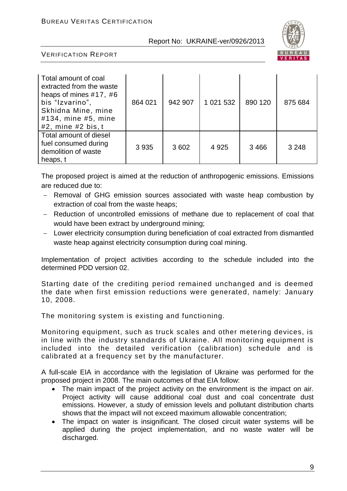

VERIFICATION REPORT

| Total amount of coal<br>extracted from the waste<br>heaps of mines $#17, #6$<br>bis "Izvarino",<br>Skhidna Mine, mine<br>#134, mine #5, mine<br>$#2$ , mine $#2$ bis, t | 864 021 | 942 907 | 1 021 532 | 890 120 | 875 684 |
|-------------------------------------------------------------------------------------------------------------------------------------------------------------------------|---------|---------|-----------|---------|---------|
| Total amount of diesel<br>fuel consumed during<br>demolition of waste<br>heaps, t                                                                                       | 3 9 3 5 | 3 602   | 4 9 2 5   | 3466    | 3 2 4 8 |

The proposed project is aimed at the reduction of anthropogenic emissions. Emissions are reduced due to:

- Removal of GHG emission sources associated with waste heap combustion by extraction of coal from the waste heaps;
- Reduction of uncontrolled emissions of methane due to replacement of coal that would have been extract by underground mining;
- Lower electricity consumption during beneficiation of coal extracted from dismantled waste heap against electricity consumption during coal mining.

Implementation of project activities according to the schedule included into the determined PDD version 02.

Starting date of the crediting period remained unchanged and is deemed the date when first emission reductions were generated, namely: January 10, 2008.

The monitoring system is existing and functioning.

Monitoring equipment, such as truck scales and other metering devices, is in line with the industry standards of Ukraine. All monitoring equipment is included into the detailed verification (calibration) schedule and is calibrated at a frequency set by the manufacturer.

A full-scale EIA in accordance with the legislation of Ukraine was performed for the proposed project in 2008. The main outcomes of that EIA follow:

- The main impact of the project activity on the environment is the impact on air. Project activity will cause additional coal dust and coal concentrate dust emissions. However, a study of emission levels and pollutant distribution charts shows that the impact will not exceed maximum allowable concentration;
- The impact on water is insignificant. The closed circuit water systems will be applied during the project implementation, and no waste water will be discharged.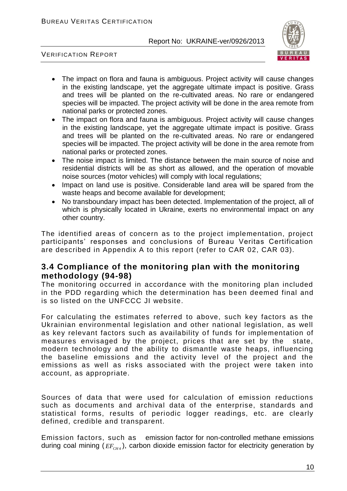

VERIFICATION REPORT

- The impact on flora and fauna is ambiguous. Project activity will cause changes in the existing landscape, yet the aggregate ultimate impact is positive. Grass and trees will be planted on the re-cultivated areas. No rare or endangered species will be impacted. The project activity will be done in the area remote from national parks or protected zones.
- The impact on flora and fauna is ambiguous. Project activity will cause changes in the existing landscape, yet the aggregate ultimate impact is positive. Grass and trees will be planted on the re-cultivated areas. No rare or endangered species will be impacted. The project activity will be done in the area remote from national parks or protected zones.
- The noise impact is limited. The distance between the main source of noise and residential districts will be as short as allowed, and the operation of movable noise sources (motor vehicles) will comply with local regulations;
- Impact on land use is positive. Considerable land area will be spared from the waste heaps and become available for development;
- No transboundary impact has been detected. Implementation of the project, all of which is physically located in Ukraine, exerts no environmental impact on any other country.

The identified areas of concern as to the project implementation, project participants' responses and conclusions of Bureau Veritas Certification are described in Appendix A to this report (refer to CAR 02, CAR 03).

#### **3.4 Compliance of the monitoring plan with the monitoring methodology (94-98)**

The monitoring occurred in accordance with the monitoring plan included in the PDD regarding which the determination has been deemed final and is so listed on the UNFCCC JI website.

For calculating the estimates referred to above, such key factors as the Ukrainian environmental legislation and other national legislation, as well as key relevant factors such as availability of funds for implementation of measures envisaged by the project, prices that are set by the state, modern technology and the ability to dismantle waste heaps, influencing the baseline emissions and the activity level of the project and the emissions as well as risks associated with the project were taken into account, as appropriate.

Sources of data that were used for calculation of emission reductions such as documents and archival data of the enterprise, standards and statistical forms, results of periodic logger readings, etc. are clearly defined, credible and transparent.

Emission factors, such as emission factor for non-controlled methane emissions during coal mining ( $EF_{CH4}$ ), carbon dioxide emission factor for electricity generation by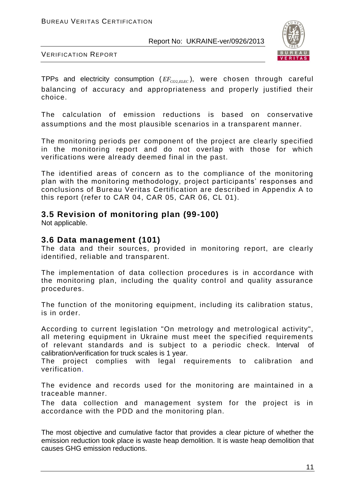

VERIFICATION REPORT

TPPs and electricity consumption  $(\mathit{EF}_\mathit{co2,ELEC}})$ , were chosen through careful balancing of accuracy and appropriateness and properly justified their choice.

The calculation of emission reductions is based on conservative assumptions and the most plausible scenarios in a transparent manner.

The monitoring periods per component of the project are clearly specified in the monitoring report and do not overlap with those for which verifications were already deemed final in the past.

The identified areas of concern as to the compliance of the monitoring plan with the monitoring methodology, project participants' responses and conclusions of Bureau Veritas Certification are described in Appendix A to this report (refer to CAR 04, CAR 05, CAR 06, CL 01).

#### **3.5 Revision of monitoring plan (99-100)**

Not applicable.

#### **3.6 Data management (101)**

The data and their sources, provided in monitoring report, are clearly identified, reliable and transparent.

The implementation of data collection procedures is in accordance with the monitoring plan, including the quality control and quality assurance procedures.

The function of the monitoring equipment, including its calibration status, is in order.

According to current legislation "On metrology and metrological activity", all metering equipment in Ukraine must meet the specified requirements of relevant standards and is subject to a periodic check. Interval of calibration/verification for truck scales is 1 year.

The project complies with legal requirements to calibration and verification.

The evidence and records used for the monitoring are maintained in a traceable manner.

The data collection and management system for the project is in accordance with the PDD and the monitoring plan.

The most objective and cumulative factor that provides a clear picture of whether the emission reduction took place is waste heap demolition. It is waste heap demolition that causes GHG emission reductions.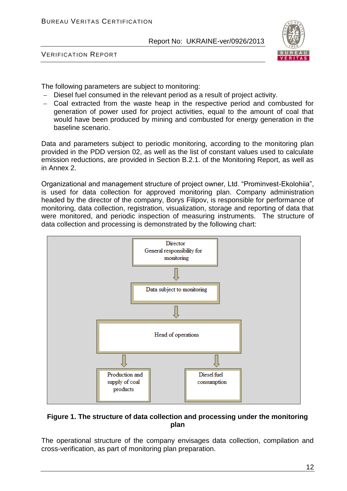

VERIFICATION REPORT

The following parameters are subject to monitoring:

- Diesel fuel consumed in the relevant period as a result of project activity.
- Coal extracted from the waste heap in the respective period and combusted for generation of power used for project activities, equal to the amount of coal that would have been produced by mining and combusted for energy generation in the baseline scenario.

Data and parameters subject to periodic monitoring, according to the monitoring plan provided in the PDD version 02, as well as the list of constant values used to calculate emission reductions, are provided in Section B.2.1. of the Monitoring Report, as well as in Annex 2.

Organizational and management structure of project owner, Ltd. "Prominvest-Ekolohiia", is used for data collection for approved monitoring plan. Company administration headed by the director of the company, Borys Filipov, is responsible for performance of monitoring, data collection, registration, visualization, storage and reporting of data that were monitored, and periodic inspection of measuring instruments. The structure of data collection and processing is demonstrated by the following chart:



#### **Figure 1. The structure of data collection and processing under the monitoring plan**

The operational structure of the company envisages data collection, compilation and cross-verification, as part of monitoring plan preparation.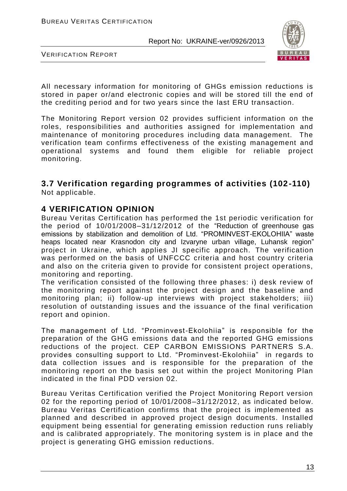

VERIFICATION REPORT

All necessary information for monitoring of GHGs emission reductions is stored in paper or/and electronic copies and will be stored till the end of the crediting period and for two years since the last ERU transaction.

The Monitoring Report version 02 provides sufficient information on the roles, responsibilities and authorities assigned for implementation and maintenance of monitoring procedures including data management. The verification team confirms effectiveness of the existing management and operational systems and found them eligible for reliable project monitoring.

#### **3.7 Verification regarding programmes of activities (102-110)** Not applicable.

#### **4 VERIFICATION OPINION**

Bureau Veritas Certification has performed the 1st periodic verification for the period of 10/01/2008–31/12/2012 of the "Reduction of greenhouse gas emissions by stabilization and demolition of Ltd. "PROMINVEST-EKOLOHIIA" waste heaps located near Krasnodon city and Izvaryne urban village, Luhansk region" project in Ukraine, which applies JI specific approach. The verification was performed on the basis of UNFCCC criteria and host country criteria and also on the criteria given to provide for consistent project operations, monitoring and reporting.

The verification consisted of the following three phases: i) desk review of the monitoring report against the project design and the baseline and monitoring plan; ii) follow-up interviews with project stakeholders; iii) resolution of outstanding issues and the issuance of the final verification report and opinion.

The management of Ltd. "Prominvest-Ekolohiia" is responsible for the preparation of the GHG emissions data and the reported GHG emissions reductions of the project. CEP CARBON EMISSIONS PARTNERS S.A. provides consulting support to Ltd. "Prominvest-Ekolohiia" in regards to data collection issues and is responsible for the preparation of the monitoring report on the basis set out within the project Monitoring Plan indicated in the final PDD version 02.

Bureau Veritas Certification verified the Project Monitoring Report version 02 for the reporting period of 10/01/2008–31/12/2012, as indicated below. Bureau Veritas Certification confirms that the project is implemented as planned and described in approved project design documents. Installed equipment being essential for generating emission reduction runs reliably and is calibrated appropriately. The monitoring system is in place and the project is generating GHG emission reductions.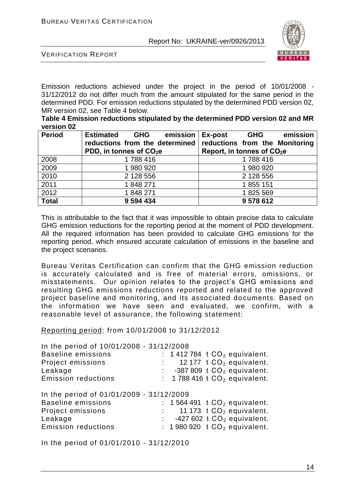

VERIFICATION REPORT

Emission reductions achieved under the project in the period of 10/01/2008 - 31/12/2012 do not differ much from the amount stipulated for the same period in the determined PDD. For emission reductions stipulated by the determined PDD version 02, MR version 02, see Table 4 below.

| Table 4 Emission reductions stipulated by the determined PDD version 02 and MR |  |
|--------------------------------------------------------------------------------|--|
| version 02                                                                     |  |

| <b>Period</b> | <b>Estimated</b><br>emission<br><b>GHG</b><br>reductions from the determined<br>PDD, in tonnes of $CO2e$ | emission<br>Ex-post<br><b>GHG</b><br>reductions from the Monitoring<br>Report, in tonnes of $CO2e$ |
|---------------|----------------------------------------------------------------------------------------------------------|----------------------------------------------------------------------------------------------------|
| 2008          | 1788 416                                                                                                 | 1788416                                                                                            |
| 2009          | 1 980 920                                                                                                | 1980920                                                                                            |
| 2010          | 2 128 556                                                                                                | 2 128 556                                                                                          |
| 2011          | 1848271                                                                                                  | 1855 151                                                                                           |
| 2012          | 1848271                                                                                                  | 1825 569                                                                                           |
| <b>Total</b>  | 9 594 434                                                                                                | 9578612                                                                                            |

This is attributable to the fact that it was impossible to obtain precise data to calculate GHG emission reductions for the reporting period at the moment of PDD development. All the required information has been provided to calculate GHG emissions for the reporting period, which ensured accurate calculation of emissions in the baseline and the project scenarios.

Bureau Veritas Certification can confirm that the GHG emission reduction is accurately calculated and is free of material errors, omissions, or misstatements. Our opinion relates to the project's GHG emissions and resulting GHG emissions reductions reported and related to the approved project baseline and monitoring, and its associated do cuments. Based on the information we have seen and evaluated, we confirm, with a reasonable level of assurance, the following statement:

Reporting period: from 10/01/2008 to 31/12/2012

In the period of 10/01/2008 - 31/12/2008 Baseline emissions :  $1412784$  t  $CO<sub>2</sub>$  equivalent.<br>Project emissions :  $12177$  t  $CO<sub>2</sub>$  equivalent. 12 177  $t CO<sub>2</sub>$  equivalent. Leakage  $\begin{array}{ccc} \text{Leakage} & \text{...} & \text{...} \\ \text{Emission reductions} & \text{...} & \text{...} \\ \end{array}$  1788 416 t CO<sub>2</sub> equivalent. : 1 788 416 t  $CO<sub>2</sub>$  equivalent. In the period of 01/01/2009 - 31/12/2009 Baseline emissions  $\begin{array}{ccc} \text{Baseline emission} & \text{Boseline emission} \\ \text{Boseline emission} & \text{Boseline mass} \\ \text{Coseline mass} & \text{Doseline mass} \\ \text{Doseline mass} & \text{Aoseline mass} \\ \text{Doseline mass} & \text{Aoseline mass} \\ \text{Eoseline mass} & \text{Aoseline mass} \\ \text{Eoseline mass} & \text{Aoseline mass} \\ \text{Eoseline mass} & \text{Aoseline mass} \\ \text{Eoseline mass} & \text{Aoseline mass} \\ \text{Eoseline mass} & \text{Aoseline mass} \\ \text{Eoseline mass} & \text{Aose$ Project emissions  $\begin{array}{ccc}\n\text{Project emission} & \text{Project}} \\
\text{Leakaae} & \text{Project}}\n\end{array}$  $\therefore$  -427 602 t CO<sub>2</sub> equivalent. Emission reductions :  $1980920 \t{CO<sub>2</sub>}$  equivalent.

In the period of 01/01/2010 - 31/12/2010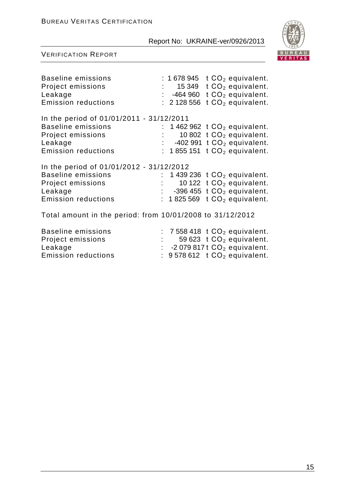

| <b>Baseline emissions</b><br>Project emissions<br>Leakage<br><b>Emission reductions</b>                                             |    | 15 349<br>: 464960<br>: 2128556 | : 1678 945 $\pm$ CO <sub>2</sub> equivalent.<br>t $CO2$ equivalent.<br>t $CO2$ equivalent.<br>$tCO2$ equivalent.                                  |
|-------------------------------------------------------------------------------------------------------------------------------------|----|---------------------------------|---------------------------------------------------------------------------------------------------------------------------------------------------|
| In the period of 01/01/2011 - 31/12/2011<br><b>Baseline emissions</b>                                                               |    |                                 | 1 462 962 $tCO2$ equivalent.                                                                                                                      |
| Project emissions                                                                                                                   |    |                                 | 10 802 $tCO2$ equivalent.                                                                                                                         |
| Leakage                                                                                                                             |    | $\mathbb{Z}^{\mathbb{Z}}$       | -402 991 $tCO2$ equivalent.                                                                                                                       |
| <b>Emission reductions</b>                                                                                                          |    |                                 | : 1855 151 $tCO2$ equivalent.                                                                                                                     |
| In the period of 01/01/2012 - 31/12/2012<br><b>Baseline emissions</b><br>Project emissions<br>Leakage<br><b>Emission reductions</b> | ÷. |                                 | 1 439 236 $tCO2$ equivalent.<br>10 122 $tCO2$ equivalent.<br>$\therefore$ -396 455 t CO <sub>2</sub> equivalent.<br>: 1825 569 $tCO2$ equivalent. |
| Total amount in the period: from 10/01/2008 to 31/12/2012                                                                           |    |                                 |                                                                                                                                                   |
| <b>Baseline emissions</b>                                                                                                           |    |                                 | $: 7558418$ t $CO2$ equivalent.                                                                                                                   |
| Project emissions                                                                                                                   |    |                                 | 59 623 $tCO2$ equivalent.                                                                                                                         |
| Leakage                                                                                                                             | t. |                                 | -2079 817 t $CO2$ equivalent.                                                                                                                     |
| <b>Emission reductions</b>                                                                                                          |    |                                 | $9578612$ t $CO2$ equivalent.                                                                                                                     |
|                                                                                                                                     |    |                                 |                                                                                                                                                   |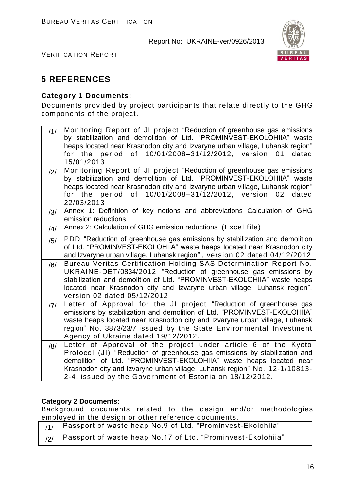

VERIFICATION REPORT

### **5 REFERENCES**

#### **Category 1 Documents:**

Documents provided by project participants that relate directly to the GHG components of the project.

| 11/            | Monitoring Report of JI project "Reduction of greenhouse gas emissions<br>by stabilization and demolition of Ltd. "PROMINVEST-EKOLOHIIA" waste<br>heaps located near Krasnodon city and Izvaryne urban village, Luhansk region"<br>for the period of 10/01/2008-31/12/2012, version<br>01<br>dated<br>15/01/2013                                           |
|----------------|------------------------------------------------------------------------------------------------------------------------------------------------------------------------------------------------------------------------------------------------------------------------------------------------------------------------------------------------------------|
| $\frac{12}{1}$ | Monitoring Report of JI project "Reduction of greenhouse gas emissions<br>by stabilization and demolition of Ltd. "PROMINVEST-EKOLOHIIA" waste                                                                                                                                                                                                             |
|                | heaps located near Krasnodon city and Izvaryne urban village, Luhansk region"                                                                                                                                                                                                                                                                              |
|                | for the period of 10/01/2008-31/12/2012, version<br>02<br>dated<br>22/03/2013                                                                                                                                                                                                                                                                              |
| /3/            | Annex 1: Definition of key notions and abbreviations Calculation of GHG<br>emission reductions                                                                                                                                                                                                                                                             |
| $\frac{14}{3}$ | Annex 2: Calculation of GHG emission reductions (Excel file)                                                                                                                                                                                                                                                                                               |
| /5/            | PDD "Reduction of greenhouse gas emissions by stabilization and demolition<br>of Ltd. "PROMINVEST-EKOLOHIIA" waste heaps located near Krasnodon city<br>and Izvaryne urban village, Luhansk region", version 02 dated 04/12/2012                                                                                                                           |
| /6/            | Bureau Veritas Certification Holding SAS Determination Report No.<br>UKRAINE-DET/0834/2012 "Reduction of greenhouse gas emissions by<br>stabilization and demolition of Ltd. "PROMINVEST-EKOLOHIIA" waste heaps<br>located near Krasnodon city and Izvaryne urban village, Luhansk region",<br>version 02 dated 05/12/2012                                 |
| 7              | Letter of Approval for the JI project "Reduction of greenhouse gas<br>emissions by stabilization and demolition of Ltd. "PROMINVEST-EKOLOHIIA"<br>waste heaps located near Krasnodon city and Izvaryne urban village, Luhansk<br>region" No. 3873/23/7 issued by the State Environmental Investment<br>Agency of Ukraine dated 19/12/2012.                 |
| /8/            | Letter of Approval of the project under article 6 of the Kyoto<br>Protocol (JI) "Reduction of greenhouse gas emissions by stabilization and<br>demolition of Ltd. "PROMINVEST-EKOLOHIIA" waste heaps located near<br>Krasnodon city and Izvaryne urban village, Luhansk region" No. 12-1/10813-<br>2-4, issued by the Government of Estonia on 18/12/2012. |

#### **Category 2 Documents:**

Background documents related to the design and/or methodologies employed in the design or other reference documents.

| $\frac{1}{1}$   Passport of waste heap No.9 of Ltd. "Prominvest-Ekolohiia" |
|----------------------------------------------------------------------------|
| $_{12/}$   Passport of waste heap No.17 of Ltd. "Prominvest-Ekolohiia"     |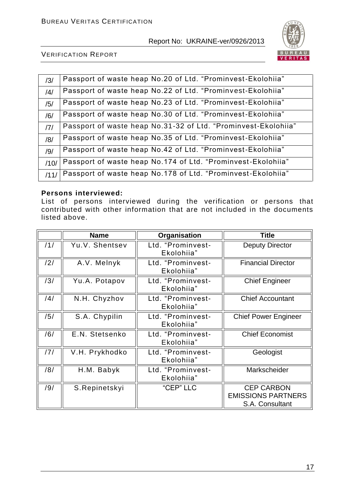

VERIFICATION REPORT

| /3/  | Passport of waste heap No.20 of Ltd. "Prominvest-Ekolohiia"    |
|------|----------------------------------------------------------------|
| /4/  | Passport of waste heap No.22 of Ltd. "Prominvest-Ekolohiia"    |
| /5/  | Passport of waste heap No.23 of Ltd. "Prominvest-Ekolohiia"    |
| /6/  | Passport of waste heap No.30 of Ltd. "Prominvest-Ekolohiia"    |
| 7    | Passport of waste heap No.31-32 of Ltd. "Prominvest-Ekolohiia" |
| /8/  | Passport of waste heap No.35 of Ltd. "Prominvest-Ekolohiia"    |
| /9/  | Passport of waste heap No.42 of Ltd. "Prominvest-Ekolohiia"    |
| /10/ | Passport of waste heap No.174 of Ltd. "Prominvest-Ekolohiia"   |
| /11/ | Passport of waste heap No.178 of Ltd. "Prominvest-Ekolohiia"   |

#### **Persons interviewed:**

List of persons interviewed during the verification or persons that contributed with other information that are not included in the documents listed above.

|     | <b>Name</b>    | Organisation                    | <b>Title</b>                                                      |
|-----|----------------|---------------------------------|-------------------------------------------------------------------|
| 11/ | Yu.V. Shentsev | Ltd. "Prominvest-<br>Ekolohiia" | <b>Deputy Director</b>                                            |
| /2/ | A.V. Melnyk    | Ltd. "Prominvest-<br>Ekolohiia" | <b>Financial Director</b>                                         |
| /3/ | Yu.A. Potapov  | Ltd. "Prominvest-<br>Ekolohiia" | <b>Chief Engineer</b>                                             |
| /4/ | N.H. Chyzhov   | Ltd. "Prominvest-<br>Ekolohiia" | <b>Chief Accountant</b>                                           |
| /5/ | S.A. Chypilin  | Ltd. "Prominvest-<br>Ekolohiia" | <b>Chief Power Engineer</b>                                       |
| /6/ | E.N. Stetsenko | Ltd. "Prominvest-<br>Ekolohiia" | <b>Chief Economist</b>                                            |
| /7/ | V.H. Prykhodko | Ltd. "Prominvest-<br>Ekolohiia" | Geologist                                                         |
| /8/ | H.M. Babyk     | Ltd. "Prominvest-<br>Ekolohiia" | Markscheider                                                      |
| /9/ | S.Repinetskyi  | "CEP" LLC                       | <b>CEP CARBON</b><br><b>EMISSIONS PARTNERS</b><br>S.A. Consultant |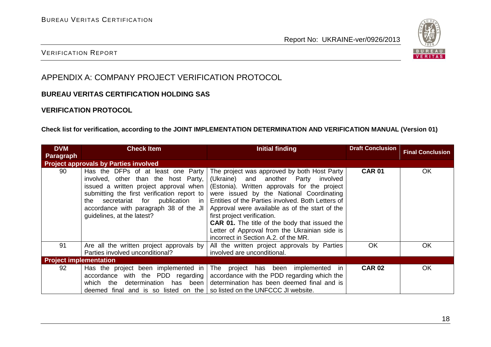

#### VERIFICATION REPORT

## APPENDIX A: COMPANY PROJECT VERIFICATION PROTOCOL

#### **BUREAU VERITAS CERTIFICATION HOLDING SAS**

#### **VERIFICATION PROTOCOL**

#### **Check list for verification, according to the JOINT IMPLEMENTATION DETERMINATION AND VERIFICATION MANUAL (Version 01)**

| <b>DVM</b>                    | <b>Check Item</b>                                                                                                                                                                                                                                                                   | Initial finding                                                                                                                                                                                                                                                                                                                                                                                                                                                        | <b>Draft Conclusion</b> |                         |
|-------------------------------|-------------------------------------------------------------------------------------------------------------------------------------------------------------------------------------------------------------------------------------------------------------------------------------|------------------------------------------------------------------------------------------------------------------------------------------------------------------------------------------------------------------------------------------------------------------------------------------------------------------------------------------------------------------------------------------------------------------------------------------------------------------------|-------------------------|-------------------------|
| <b>Paragraph</b>              |                                                                                                                                                                                                                                                                                     |                                                                                                                                                                                                                                                                                                                                                                                                                                                                        |                         | <b>Final Conclusion</b> |
|                               | <b>Project approvals by Parties involved</b>                                                                                                                                                                                                                                        |                                                                                                                                                                                                                                                                                                                                                                                                                                                                        |                         |                         |
| 90                            | Has the DFPs of at least one Party<br>involved, other than the host Party,<br>issued a written project approval when  <br>submitting the first verification report to<br>the secretariat for publication in<br>accordance with paragraph 38 of the JI<br>guidelines, at the latest? | The project was approved by both Host Party<br>(Ukraine) and another Party involved<br>(Estonia). Written approvals for the project<br>were issued by the National Coordinating<br>Entities of the Parties involved. Both Letters of<br>Approval were available as of the start of the<br>first project verification.<br><b>CAR 01.</b> The title of the body that issued the<br>Letter of Approval from the Ukrainian side is<br>incorrect in Section A.2. of the MR. | <b>CAR 01</b>           | <b>OK</b>               |
| 91                            | Are all the written project approvals by<br>Parties involved unconditional?                                                                                                                                                                                                         | All the written project approvals by Parties<br>involved are unconditional.                                                                                                                                                                                                                                                                                                                                                                                            | <b>OK</b>               | OK                      |
| <b>Project implementation</b> |                                                                                                                                                                                                                                                                                     |                                                                                                                                                                                                                                                                                                                                                                                                                                                                        |                         |                         |
| 92                            | Has the project been implemented in<br>accordance with the PDD regarding<br>which the<br>determination has been<br>deemed final and is so listed on the                                                                                                                             | The project has been<br>implemented<br>-in<br>accordance with the PDD regarding which the<br>determination has been deemed final and is<br>so listed on the UNFCCC JI website.                                                                                                                                                                                                                                                                                         | <b>CAR 02</b>           | OK                      |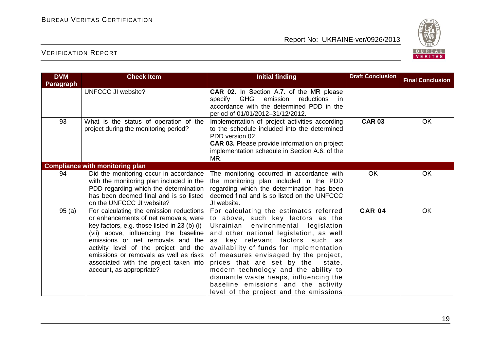

| <b>DVM</b><br><b>Paragraph</b> | <b>Check Item</b>                                                                                                                                                                                                                                                                                                                                                          | <b>Initial finding</b>                                                                                                                                                                                                                                                                                                                                                                                                                                                                              | <b>Draft Conclusion</b> | <b>Final Conclusion</b> |
|--------------------------------|----------------------------------------------------------------------------------------------------------------------------------------------------------------------------------------------------------------------------------------------------------------------------------------------------------------------------------------------------------------------------|-----------------------------------------------------------------------------------------------------------------------------------------------------------------------------------------------------------------------------------------------------------------------------------------------------------------------------------------------------------------------------------------------------------------------------------------------------------------------------------------------------|-------------------------|-------------------------|
|                                | <b>UNFCCC JI website?</b>                                                                                                                                                                                                                                                                                                                                                  | CAR 02. In Section A.7. of the MR please<br>specify GHG<br>emission<br>reductions<br>in.<br>accordance with the determined PDD in the<br>period of 01/01/2012-31/12/2012.                                                                                                                                                                                                                                                                                                                           |                         |                         |
| 93                             | What is the status of operation of the<br>project during the monitoring period?                                                                                                                                                                                                                                                                                            | Implementation of project activities according<br>to the schedule included into the determined<br>PDD version 02.<br><b>CAR 03.</b> Please provide information on project<br>implementation schedule in Section A.6. of the<br>MR.                                                                                                                                                                                                                                                                  | <b>CAR 03</b>           | OK                      |
|                                | <b>Compliance with monitoring plan</b>                                                                                                                                                                                                                                                                                                                                     |                                                                                                                                                                                                                                                                                                                                                                                                                                                                                                     |                         |                         |
| 94                             | Did the monitoring occur in accordance<br>with the monitoring plan included in the<br>PDD regarding which the determination<br>has been deemed final and is so listed<br>on the UNFCCC JI website?                                                                                                                                                                         | The monitoring occurred in accordance with<br>the monitoring plan included in the PDD<br>regarding which the determination has been<br>deemed final and is so listed on the UNFCCC<br>JI website.                                                                                                                                                                                                                                                                                                   | <b>OK</b>               | OK                      |
| 95(a)                          | For calculating the emission reductions  <br>or enhancements of net removals, were<br>key factors, e.g. those listed in 23 (b) (i)-<br>(vii) above, influencing the baseline<br>emissions or net removals and the<br>activity level of the project and the<br>emissions or removals as well as risks<br>associated with the project taken into<br>account, as appropriate? | For calculating the estimates referred<br>to above, such key factors as the<br>Ukrainian<br>environmental legislation<br>and other national legislation, as well<br>as key relevant factors such as<br>availability of funds for implementation<br>of measures envisaged by the project,<br>prices that are set by the<br>state,<br>modern technology and the ability to<br>dismantle waste heaps, influencing the<br>baseline emissions and the activity<br>level of the project and the emissions | <b>CAR 04</b>           | OK                      |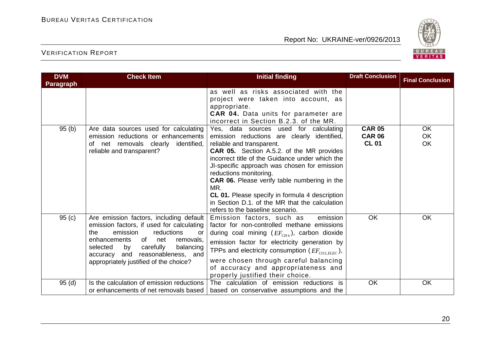

| <b>DVM</b>        | <b>Check Item</b>                                                                                                                                                                                                                                                                                     | <b>Initial finding</b>                                                                                                                                                                                                                                                                                                                                                                                                                                                                             | <b>Draft Conclusion</b>                        | <b>Final Conclusion</b> |
|-------------------|-------------------------------------------------------------------------------------------------------------------------------------------------------------------------------------------------------------------------------------------------------------------------------------------------------|----------------------------------------------------------------------------------------------------------------------------------------------------------------------------------------------------------------------------------------------------------------------------------------------------------------------------------------------------------------------------------------------------------------------------------------------------------------------------------------------------|------------------------------------------------|-------------------------|
| <b>Paragraph</b>  |                                                                                                                                                                                                                                                                                                       |                                                                                                                                                                                                                                                                                                                                                                                                                                                                                                    |                                                |                         |
|                   |                                                                                                                                                                                                                                                                                                       | as well as risks associated with the<br>project were taken into account, as<br>appropriate.<br>CAR 04. Data units for parameter are<br>incorrect in Section B.2.3. of the MR.                                                                                                                                                                                                                                                                                                                      |                                                |                         |
| 95(b)             | Are data sources used for calculating<br>emission reductions or enhancements<br>net removals clearly<br>identified,<br>of<br>reliable and transparent?                                                                                                                                                | Yes, data sources used for calculating<br>emission reductions are clearly identified,<br>reliable and transparent.<br><b>CAR 05.</b> Section A.5.2. of the MR provides<br>incorrect title of the Guidance under which the<br>JI-specific approach was chosen for emission<br>reductions monitoring.<br>CAR 06. Please verify table numbering in the<br>MR.<br>CL 01. Please specify in formula 4 description<br>in Section D.1. of the MR that the calculation<br>refers to the baseline scenario. | <b>CAR 05</b><br><b>CAR 06</b><br><b>CL 01</b> | <b>OK</b><br>OK<br>OK   |
| 95 <sub>(c)</sub> | Are emission factors, including default<br>emission factors, if used for calculating<br>the<br>emission<br>reductions<br>or<br>enhancements<br>of<br>net<br>removals,<br>selected<br>carefully<br>balancing<br>by<br>reasonableness, and<br>and<br>accuracy<br>appropriately justified of the choice? | Emission factors, such as<br>emission<br>factor for non-controlled methane emissions<br>during coal mining $(EF_{CH4})$ , carbon dioxide<br>emission factor for electricity generation by<br>TPPs and electricity consumption ( $EF_{CO2.ELEC}$ ),<br>were chosen through careful balancing<br>of accuracy and appropriateness and<br>properly justified their choice.                                                                                                                             | OK                                             | OK                      |
| 95(d)             | Is the calculation of emission reductions<br>or enhancements of net removals based                                                                                                                                                                                                                    | The calculation of emission reductions is<br>based on conservative assumptions and the                                                                                                                                                                                                                                                                                                                                                                                                             | OK                                             | OK                      |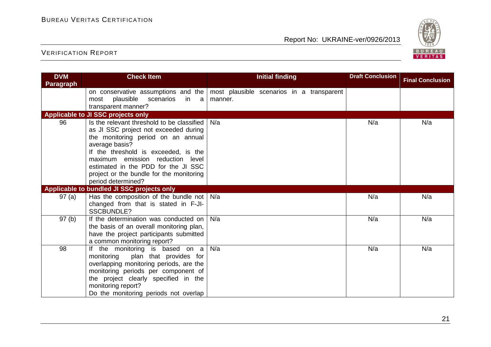

| <b>DVM</b>       | <b>Check Item</b>                                                                                                                                                                                                                                                                                                                | <b>Initial finding</b>                               | <b>Draft Conclusion</b> | <b>Final Conclusion</b> |
|------------------|----------------------------------------------------------------------------------------------------------------------------------------------------------------------------------------------------------------------------------------------------------------------------------------------------------------------------------|------------------------------------------------------|-------------------------|-------------------------|
| <b>Paragraph</b> |                                                                                                                                                                                                                                                                                                                                  |                                                      |                         |                         |
|                  | on conservative assumptions and the<br>plausible<br>scenarios<br>in a<br>most<br>transparent manner?                                                                                                                                                                                                                             | most plausible scenarios in a transparent<br>manner. |                         |                         |
|                  | Applicable to JI SSC projects only                                                                                                                                                                                                                                                                                               |                                                      |                         |                         |
| 96               | Is the relevant threshold to be classified<br>as JI SSC project not exceeded during<br>the monitoring period on an annual<br>average basis?<br>If the threshold is exceeded, is the<br>maximum emission reduction level<br>estimated in the PDD for the JI SSC<br>project or the bundle for the monitoring<br>period determined? | N/a                                                  | N/a                     | N/a                     |
|                  | Applicable to bundled JI SSC projects only                                                                                                                                                                                                                                                                                       |                                                      |                         |                         |
| 97(a)            | Has the composition of the bundle not<br>changed from that is stated in F-JI-<br><b>SSCBUNDLE?</b>                                                                                                                                                                                                                               | N/a                                                  | N/a                     | N/a                     |
| 97(b)            | If the determination was conducted on<br>the basis of an overall monitoring plan,<br>have the project participants submitted<br>a common monitoring report?                                                                                                                                                                      | N/a                                                  | N/a                     | N/a                     |
| 98               | If the monitoring is based on a<br>plan that provides for<br>monitoring<br>overlapping monitoring periods, are the<br>monitoring periods per component of<br>the project clearly specified in the<br>monitoring report?<br>Do the monitoring periods not overlap                                                                 | N/a                                                  | N/a                     | N/a                     |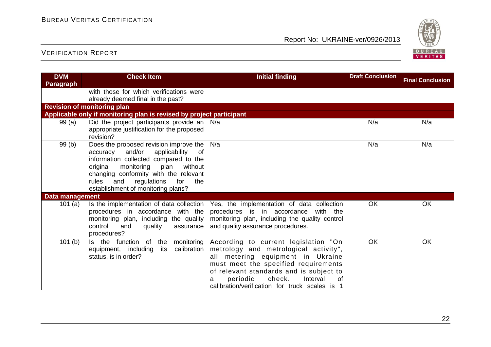

| <b>DVM</b><br>Paragraph | <b>Check Item</b>                                                                                                                                                                                                                                                                                     | <b>Initial finding</b>                                                                                                                                                                                                                                                                          | <b>Draft Conclusion</b> | <b>Final Conclusion</b> |
|-------------------------|-------------------------------------------------------------------------------------------------------------------------------------------------------------------------------------------------------------------------------------------------------------------------------------------------------|-------------------------------------------------------------------------------------------------------------------------------------------------------------------------------------------------------------------------------------------------------------------------------------------------|-------------------------|-------------------------|
|                         | with those for which verifications were<br>already deemed final in the past?                                                                                                                                                                                                                          |                                                                                                                                                                                                                                                                                                 |                         |                         |
|                         | <b>Revision of monitoring plan</b>                                                                                                                                                                                                                                                                    |                                                                                                                                                                                                                                                                                                 |                         |                         |
|                         | Applicable only if monitoring plan is revised by project participant                                                                                                                                                                                                                                  |                                                                                                                                                                                                                                                                                                 |                         |                         |
| 99(a)                   | Did the project participants provide an  <br>appropriate justification for the proposed<br>revision?                                                                                                                                                                                                  | N/a                                                                                                                                                                                                                                                                                             | N/a                     | N/a                     |
| 99 (b)                  | Does the proposed revision improve the<br>and/or<br>accuracy<br>applicability<br>of<br>information collected compared to the<br>without<br>original<br>monitoring<br>plan<br>changing conformity with the relevant<br>regulations<br>rules<br>and<br>for<br>the<br>establishment of monitoring plans? | N/a                                                                                                                                                                                                                                                                                             | N/a                     | N/a                     |
| <b>Data management</b>  |                                                                                                                                                                                                                                                                                                       |                                                                                                                                                                                                                                                                                                 |                         |                         |
| 101 $(a)$               | Is the implementation of data collection<br>procedures in accordance with the<br>monitoring plan, including the quality<br>control<br>and<br>quality<br>assurance<br>procedures?                                                                                                                      | Yes, the implementation of data collection<br>procedures is in accordance<br>with the<br>monitoring plan, including the quality control<br>and quality assurance procedures.                                                                                                                    | <b>OK</b>               | OK                      |
| 101(b)                  | Is the function<br>of<br>the<br>monitoring<br>calibration<br>equipment, including<br>its<br>status, is in order?                                                                                                                                                                                      | According to current legislation "On<br>metrology and metrological activity",<br>all metering equipment in Ukraine<br>must meet the specified requirements<br>of relevant standards and is subject to<br>check.<br>periodic<br>Interval<br>0f<br>calibration/verification for truck scales is 1 | <b>OK</b>               | OK                      |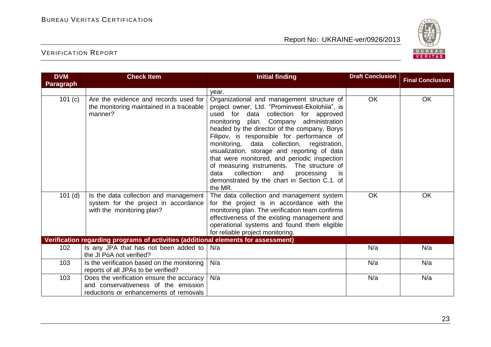

| <b>DVM</b>       | <b>Check Item</b>                                                                                                           | <b>Initial finding</b>                                                                                                                                                                                                                                                                                                                                                                                                                                                                                                                                                                                 | <b>Draft Conclusion</b> | <b>Final Conclusion</b> |
|------------------|-----------------------------------------------------------------------------------------------------------------------------|--------------------------------------------------------------------------------------------------------------------------------------------------------------------------------------------------------------------------------------------------------------------------------------------------------------------------------------------------------------------------------------------------------------------------------------------------------------------------------------------------------------------------------------------------------------------------------------------------------|-------------------------|-------------------------|
| <b>Paragraph</b> |                                                                                                                             |                                                                                                                                                                                                                                                                                                                                                                                                                                                                                                                                                                                                        |                         |                         |
|                  |                                                                                                                             | year.                                                                                                                                                                                                                                                                                                                                                                                                                                                                                                                                                                                                  |                         |                         |
| 101(c)           | Are the evidence and records used for<br>the monitoring maintained in a traceable<br>manner?                                | Organizational and management structure of<br>project owner, Ltd. "Prominvest-Ekolohiia", is<br>used for data collection for approved<br>Company administration<br>monitoring<br>plan.<br>headed by the director of the company, Borys<br>Filipov, is responsible for performance of<br>monitoring, data collection, registration,<br>visualization, storage and reporting of data<br>that were monitored, and periodic inspection<br>of measuring instruments.<br>The structure of<br>collection<br>and<br>processing<br>data<br><b>is</b><br>demonstrated by the chart in Section C.1. of<br>the MR. | OK                      | OK                      |
| $101$ (d)        | Is the data collection and management<br>system for the project in accordance<br>with the monitoring plan?                  | The data collection and management system<br>for the project is in accordance with the<br>monitoring plan. The verification team confirms<br>effectiveness of the existing management and<br>operational systems and found them eligible<br>for reliable project monitoring.                                                                                                                                                                                                                                                                                                                           | OK                      | OK                      |
|                  | Verification regarding programs of activities (additional elements for assessment)                                          |                                                                                                                                                                                                                                                                                                                                                                                                                                                                                                                                                                                                        |                         |                         |
| 102              | Is any JPA that has not been added to<br>the JI PoA not verified?                                                           | N/a                                                                                                                                                                                                                                                                                                                                                                                                                                                                                                                                                                                                    | N/a                     | N/a                     |
| 103              | Is the verification based on the monitoring<br>reports of all JPAs to be verified?                                          | N/a                                                                                                                                                                                                                                                                                                                                                                                                                                                                                                                                                                                                    | N/a                     | N/a                     |
| 103              | Does the verification ensure the accuracy<br>and conservativeness of the emission<br>reductions or enhancements of removals | N/a                                                                                                                                                                                                                                                                                                                                                                                                                                                                                                                                                                                                    | N/a                     | N/a                     |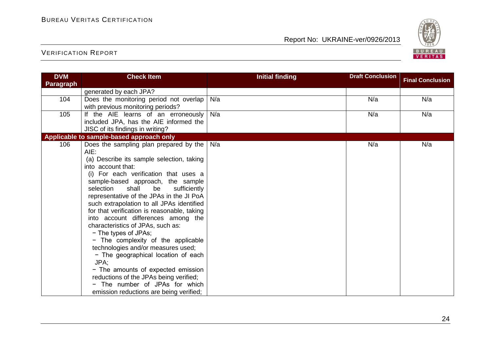

| <b>DVM</b>       | <b>Check Item</b>                                                                        | <b>Initial finding</b> | <b>Draft Conclusion</b> | <b>Final Conclusion</b> |
|------------------|------------------------------------------------------------------------------------------|------------------------|-------------------------|-------------------------|
| <b>Paragraph</b> |                                                                                          |                        |                         |                         |
|                  | generated by each JPA?                                                                   |                        |                         |                         |
| 104              | Does the monitoring period not overlap                                                   | N/a                    | N/a                     | N/a                     |
|                  | with previous monitoring periods?                                                        |                        |                         |                         |
| 105              | If the AIE learns of an erroneously                                                      | N/a                    | N/a                     | N/a                     |
|                  | included JPA, has the AIE informed the<br>JISC of its findings in writing?               |                        |                         |                         |
|                  | Applicable to sample-based approach only                                                 |                        |                         |                         |
| 106              | Does the sampling plan prepared by the                                                   | N/a                    | N/a                     | N/a                     |
|                  | $AIE$ :                                                                                  |                        |                         |                         |
|                  | (a) Describe its sample selection, taking                                                |                        |                         |                         |
|                  | into account that:                                                                       |                        |                         |                         |
|                  | (i) For each verification that uses a                                                    |                        |                         |                         |
|                  | sample-based approach, the sample                                                        |                        |                         |                         |
|                  | selection<br>shall<br>be<br>sufficiently                                                 |                        |                         |                         |
|                  | representative of the JPAs in the JI PoA                                                 |                        |                         |                         |
|                  | such extrapolation to all JPAs identified<br>for that verification is reasonable, taking |                        |                         |                         |
|                  | into account differences among the                                                       |                        |                         |                         |
|                  | characteristics of JPAs, such as:                                                        |                        |                         |                         |
|                  | - The types of JPAs;                                                                     |                        |                         |                         |
|                  | - The complexity of the applicable                                                       |                        |                         |                         |
|                  | technologies and/or measures used;                                                       |                        |                         |                         |
|                  | - The geographical location of each                                                      |                        |                         |                         |
|                  | JPA;                                                                                     |                        |                         |                         |
|                  | - The amounts of expected emission                                                       |                        |                         |                         |
|                  | reductions of the JPAs being verified;                                                   |                        |                         |                         |
|                  | - The number of JPAs for which                                                           |                        |                         |                         |
|                  | emission reductions are being verified;                                                  |                        |                         |                         |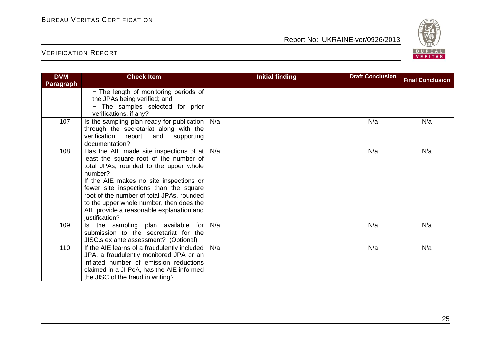

| <b>DVM</b>       | <b>Check Item</b>                                                                                                                                                                                                                                                                                                                                                                      | <b>Initial finding</b> | <b>Draft Conclusion</b> | <b>Final Conclusion</b> |
|------------------|----------------------------------------------------------------------------------------------------------------------------------------------------------------------------------------------------------------------------------------------------------------------------------------------------------------------------------------------------------------------------------------|------------------------|-------------------------|-------------------------|
| <b>Paragraph</b> |                                                                                                                                                                                                                                                                                                                                                                                        |                        |                         |                         |
|                  | - The length of monitoring periods of<br>the JPAs being verified; and<br>The samples selected for prior<br>$\qquad \qquad \blacksquare$<br>verifications, if any?                                                                                                                                                                                                                      |                        |                         |                         |
| 107              | Is the sampling plan ready for publication  <br>through the secretariat along with the<br>verification report<br>and<br>supporting<br>documentation?                                                                                                                                                                                                                                   | N/a                    | N/a                     | N/a                     |
| 108              | Has the AIE made site inspections of at $ $<br>least the square root of the number of<br>total JPAs, rounded to the upper whole<br>number?<br>If the AIE makes no site inspections or<br>fewer site inspections than the square<br>root of the number of total JPAs, rounded<br>to the upper whole number, then does the<br>AIE provide a reasonable explanation and<br>justification? | N/a                    | N/a                     | N/a                     |
| 109              | Is the sampling plan available for<br>submission to the secretariat for the<br>JISC.s ex ante assessment? (Optional)                                                                                                                                                                                                                                                                   | N/a                    | N/a                     | N/a                     |
| 110              | If the AIE learns of a fraudulently included<br>JPA, a fraudulently monitored JPA or an<br>inflated number of emission reductions<br>claimed in a JI PoA, has the AIE informed<br>the JISC of the fraud in writing?                                                                                                                                                                    | N/a                    | N/a                     | N/a                     |